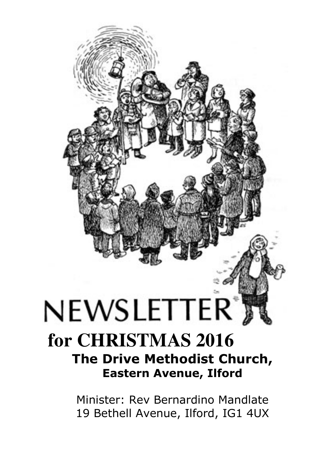# $N\textrm{EWSLETTER}^*$ **for CHRISTMAS 2016 The Drive Methodist Church,**

**Eastern Avenue, Ilford** 

Minister: Rev Bernardino Mandlate 19 Bethell Avenue, Ilford, IG1 4UX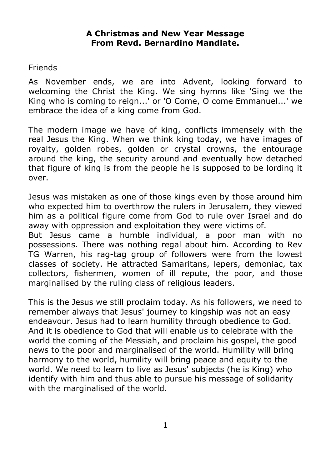#### **A Christmas and New Year Message From Revd. Bernardino Mandlate.**

#### **Friends**

As November ends, we are into Advent, looking forward to welcoming the Christ the King. We sing hymns like 'Sing we the King who is coming to reign...' or 'O Come, O come Emmanuel...' we embrace the idea of a king come from God.

The modern image we have of king, conflicts immensely with the real Jesus the King. When we think king today, we have images of royalty, golden robes, golden or crystal crowns, the entourage around the king, the security around and eventually how detached that figure of king is from the people he is supposed to be lording it over.

Jesus was mistaken as one of those kings even by those around him who expected him to overthrow the rulers in Jerusalem, they viewed him as a political figure come from God to rule over Israel and do away with oppression and exploitation they were victims of.

But Jesus came a humble individual, a poor man with no possessions. There was nothing regal about him. According to Rev TG Warren, his rag-tag group of followers were from the lowest classes of society. He attracted Samaritans, lepers, demoniac, tax collectors, fishermen, women of ill repute, the poor, and those marginalised by the ruling class of religious leaders.

This is the Jesus we still proclaim today. As his followers, we need to remember always that Jesus' journey to kingship was not an easy endeavour. Jesus had to learn humility through obedience to God. And it is obedience to God that will enable us to celebrate with the world the coming of the Messiah, and proclaim his gospel, the good news to the poor and marginalised of the world. Humility will bring harmony to the world, humility will bring peace and equity to the world. We need to learn to live as Jesus' subjects (he is King) who identify with him and thus able to pursue his message of solidarity with the marginalised of the world.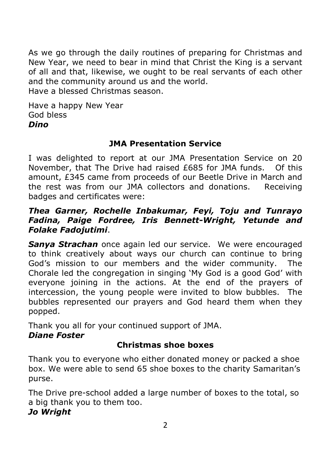As we go through the daily routines of preparing for Christmas and New Year, we need to bear in mind that Christ the King is a servant of all and that, likewise, we ought to be real servants of each other and the community around us and the world.

Have a blessed Christmas season.

Have a happy New Year God bless *Dino* 

## **JMA Presentation Service**

I was delighted to report at our JMA Presentation Service on 20 November, that The Drive had raised £685 for JMA funds. Of this amount, £345 came from proceeds of our Beetle Drive in March and the rest was from our JMA collectors and donations. Receiving badges and certificates were:

#### *Thea Garner, Rochelle Inbakumar, Feyi, Toju and Tunrayo Fadina, Paige Fordree, Iris Bennett-Wright, Yetunde and Folake Fadojutimi*.

*Sanya Strachan* once again led our service. We were encouraged to think creatively about ways our church can continue to bring God's mission to our members and the wider community. The Chorale led the congregation in singing 'My God is a good God' with everyone joining in the actions. At the end of the prayers of intercession, the young people were invited to blow bubbles. The bubbles represented our prayers and God heard them when they popped.

Thank you all for your continued support of JMA.

## *Diane Foster*

# **Christmas shoe boxes**

Thank you to everyone who either donated money or packed a shoe box. We were able to send 65 shoe boxes to the charity Samaritan's purse.

The Drive pre-school added a large number of boxes to the total, so a big thank you to them too. *Jo Wright*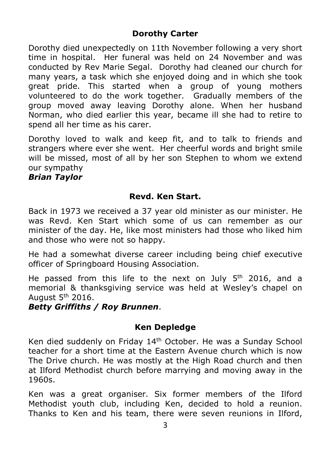## **Dorothy Carter**

Dorothy died unexpectedly on 11th November following a very short time in hospital. Her funeral was held on 24 November and was conducted by Rev Marie Segal. Dorothy had cleaned our church for many years, a task which she enjoyed doing and in which she took great pride. This started when a group of young mothers volunteered to do the work together. Gradually members of the group moved away leaving Dorothy alone. When her husband Norman, who died earlier this year, became ill she had to retire to spend all her time as his carer.

Dorothy loved to walk and keep fit, and to talk to friends and strangers where ever she went. Her cheerful words and bright smile will be missed, most of all by her son Stephen to whom we extend our sympathy

## *Brian Taylor*

## **Revd. Ken Start.**

Back in 1973 we received a 37 year old minister as our minister. He was Revd. Ken Start which some of us can remember as our minister of the day. He, like most ministers had those who liked him and those who were not so happy.

He had a somewhat diverse career including being chief executive officer of Springboard Housing Association.

He passed from this life to the next on July  $5<sup>th</sup>$  2016, and a memorial & thanksgiving service was held at Wesley's chapel on August  $5<sup>th</sup>$  2016.

*Betty Griffiths / Roy Brunnen*.

## **Ken Depledge**

Ken died suddenly on Friday 14<sup>th</sup> October. He was a Sunday School teacher for a short time at the Eastern Avenue church which is now The Drive church. He was mostly at the High Road church and then at Ilford Methodist church before marrying and moving away in the 1960s.

Ken was a great organiser. Six former members of the Ilford Methodist youth club, including Ken, decided to hold a reunion. Thanks to Ken and his team, there were seven reunions in Ilford,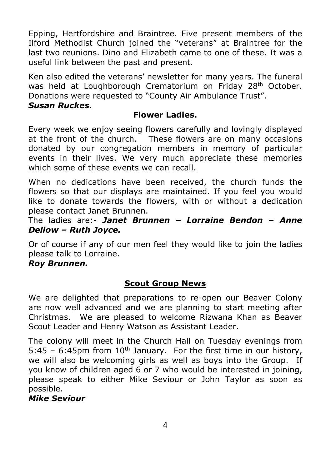Epping, Hertfordshire and Braintree. Five present members of the Ilford Methodist Church joined the "veterans" at Braintree for the last two reunions. Dino and Elizabeth came to one of these. It was a useful link between the past and present.

Ken also edited the veterans' newsletter for many years. The funeral was held at Loughborough Crematorium on Friday 28<sup>th</sup> October. Donations were requested to "County Air Ambulance Trust".

#### *Susan Ruckes*.

#### **Flower Ladies.**

Every week we enjoy seeing flowers carefully and lovingly displayed at the front of the church. These flowers are on many occasions donated by our congregation members in memory of particular events in their lives. We very much appreciate these memories which some of these events we can recall.

When no dedications have been received, the church funds the flowers so that our displays are maintained. If you feel you would like to donate towards the flowers, with or without a dedication please contact Janet Brunnen.

The ladies are:- *Janet Brunnen – Lorraine Bendon – Anne Dellow – Ruth Joyce.* 

Or of course if any of our men feel they would like to join the ladies please talk to Lorraine.

#### *Roy Brunnen.*

# **Scout Group News**

We are delighted that preparations to re-open our Beaver Colony are now well advanced and we are planning to start meeting after Christmas. We are pleased to welcome Rizwana Khan as Beaver Scout Leader and Henry Watson as Assistant Leader.

The colony will meet in the Church Hall on Tuesday evenings from 5:45 – 6:45pm from  $10<sup>th</sup>$  January. For the first time in our history, we will also be welcoming girls as well as boys into the Group. If you know of children aged 6 or 7 who would be interested in joining, please speak to either Mike Seviour or John Taylor as soon as possible.

#### *Mike Seviour*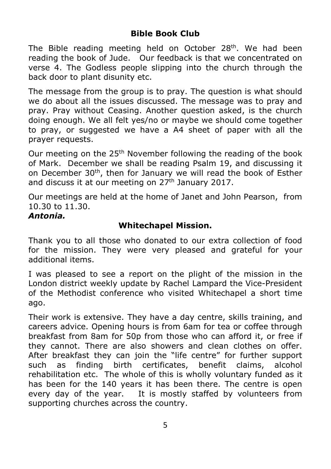# **Bible Book Club**

The Bible reading meeting held on October 28<sup>th</sup>. We had been reading the book of Jude. Our feedback is that we concentrated on verse 4. The Godless people slipping into the church through the back door to plant disunity etc.

The message from the group is to pray. The question is what should we do about all the issues discussed. The message was to pray and pray. Pray without Ceasing. Another question asked, is the church doing enough. We all felt yes/no or maybe we should come together to pray, or suggested we have a A4 sheet of paper with all the prayer requests.

Our meeting on the 25<sup>th</sup> November following the reading of the book of Mark. December we shall be reading Psalm 19, and discussing it on December 30<sup>th</sup>, then for January we will read the book of Esther and discuss it at our meeting on  $27<sup>th</sup>$  January 2017.

Our meetings are held at the home of Janet and John Pearson, from 10.30 to 11.30.

## *Antonia.*

## **Whitechapel Mission.**

Thank you to all those who donated to our extra collection of food for the mission. They were very pleased and grateful for your additional items.

I was pleased to see a report on the plight of the mission in the London district weekly update by Rachel Lampard the Vice-President of the Methodist conference who visited Whitechapel a short time ago.

Their work is extensive. They have a day centre, skills training, and careers advice. Opening hours is from 6am for tea or coffee through breakfast from 8am for 50p from those who can afford it, or free if they cannot. There are also showers and clean clothes on offer. After breakfast they can join the "life centre" for further support such as finding birth certificates, benefit claims, alcohol rehabilitation etc. The whole of this is wholly voluntary funded as it has been for the 140 years it has been there. The centre is open every day of the year. It is mostly staffed by volunteers from supporting churches across the country.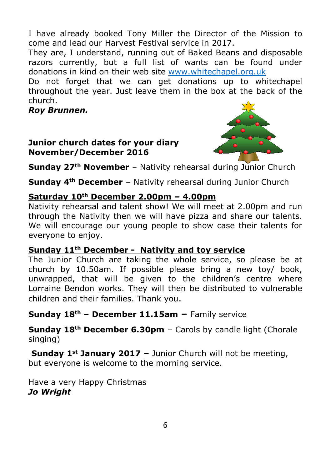I have already booked Tony Miller the Director of the Mission to come and lead our Harvest Festival service in 2017.

They are, I understand, running out of Baked Beans and disposable razors currently, but a full list of wants can be found under donations in kind on their web site www.whitechapel.org.uk

Do not forget that we can get donations up to whitechapel throughout the year. Just leave them in the box at the back of the church.

*Roy Brunnen.* 

## **Junior church dates for your diary November/December 2016**



**Sunday 27<sup>th</sup> November** – Nativity rehearsal during Junior Church

**Sunday 4th December** – Nativity rehearsal during Junior Church

# **Saturday 10th December 2.00pm – 4.00pm**

Nativity rehearsal and talent show! We will meet at 2.00pm and run through the Nativity then we will have pizza and share our talents. We will encourage our young people to show case their talents for everyone to enjoy.

## **Sunday 11th December - Nativity and toy service**

The Junior Church are taking the whole service, so please be at church by 10.50am. If possible please bring a new toy/ book, unwrapped, that will be given to the children's centre where Lorraine Bendon works. They will then be distributed to vulnerable children and their families. Thank you.

**Sunday 18th – December 11.15am –** Family service

**Sunday 18th December 6.30pm** – Carols by candle light (Chorale singing)

**Sunday 1st January 2017 –** Junior Church will not be meeting, but everyone is welcome to the morning service.

Have a very Happy Christmas *Jo Wright*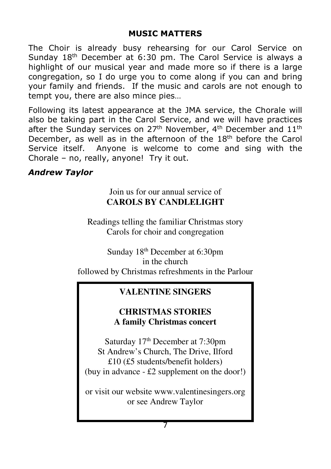#### **MUSIC MATTERS**

The Choir is already busy rehearsing for our Carol Service on Sunday 18<sup>th</sup> December at 6:30 pm. The Carol Service is always a highlight of our musical year and made more so if there is a large congregation, so I do urge you to come along if you can and bring your family and friends. If the music and carols are not enough to tempt you, there are also mince pies…

Following its latest appearance at the JMA service, the Chorale will also be taking part in the Carol Service, and we will have practices after the Sunday services on  $27<sup>th</sup>$  November, 4<sup>th</sup> December and  $11<sup>th</sup>$ December, as well as in the afternoon of the  $18<sup>th</sup>$  before the Carol Service itself. Anyone is welcome to come and sing with the Chorale – no, really, anyone! Try it out.

#### *Andrew Taylor*

# Join us for our annual service of **CAROLS BY CANDLELIGHT**

Readings telling the familiar Christmas story Carols for choir and congregation

Sunday 18th December at 6:30pm in the church followed by Christmas refreshments in the Parlour

## **VALENTINE SINGERS**

## **CHRISTMAS STORIES A family Christmas concert**

Saturday 17<sup>th</sup> December at 7:30pm St Andrew's Church, The Drive, Ilford £10 (£5 students/benefit holders) (buy in advance - £2 supplement on the door!)

or visit our website www.valentinesingers.org or see Andrew Taylor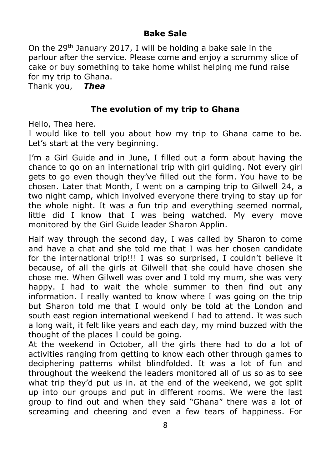# **Bake Sale**

On the 29<sup>th</sup> January 2017, I will be holding a bake sale in the parlour after the service. Please come and enjoy a scrummy slice of cake or buy something to take home whilst helping me fund raise for my trip to Ghana.

Thank you, *Thea*

# **The evolution of my trip to Ghana**

Hello, Thea here.

I would like to tell you about how my trip to Ghana came to be. Let's start at the very beginning.

I'm a Girl Guide and in June, I filled out a form about having the chance to go on an international trip with girl guiding. Not every girl gets to go even though they've filled out the form. You have to be chosen. Later that Month, I went on a camping trip to Gilwell 24, a two night camp, which involved everyone there trying to stay up for the whole night. It was a fun trip and everything seemed normal, little did I know that I was being watched. My every move monitored by the Girl Guide leader Sharon Applin.

Half way through the second day, I was called by Sharon to come and have a chat and she told me that I was her chosen candidate for the international trip!!! I was so surprised, I couldn't believe it because, of all the girls at Gilwell that she could have chosen she chose me. When Gilwell was over and I told my mum, she was very happy. I had to wait the whole summer to then find out any information. I really wanted to know where I was going on the trip but Sharon told me that I would only be told at the London and south east region international weekend I had to attend. It was such a long wait, it felt like years and each day, my mind buzzed with the thought of the places I could be going.

At the weekend in October, all the girls there had to do a lot of activities ranging from getting to know each other through games to deciphering patterns whilst blindfolded. It was a lot of fun and throughout the weekend the leaders monitored all of us so as to see what trip they'd put us in. at the end of the weekend, we got split up into our groups and put in different rooms. We were the last group to find out and when they said "Ghana" there was a lot of screaming and cheering and even a few tears of happiness. For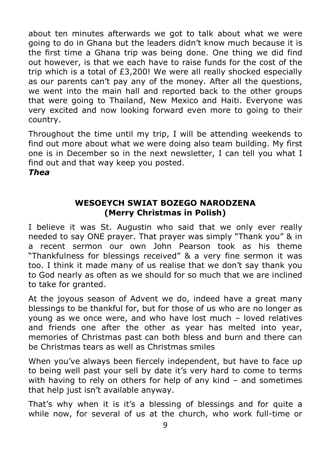about ten minutes afterwards we got to talk about what we were going to do in Ghana but the leaders didn't know much because it is the first time a Ghana trip was being done. One thing we did find out however, is that we each have to raise funds for the cost of the trip which is a total of £3,200! We were all really shocked especially as our parents can't pay any of the money. After all the questions, we went into the main hall and reported back to the other groups that were going to Thailand, New Mexico and Haiti. Everyone was very excited and now looking forward even more to going to their country.

Throughout the time until my trip, I will be attending weekends to find out more about what we were doing also team building. My first one is in December so in the next newsletter, I can tell you what I find out and that way keep you posted.

*Thea* 

# **WESOEYCH SWIAT BOZEGO NARODZENA (Merry Christmas in Polish)**

I believe it was St. Augustin who said that we only ever really needed to say ONE prayer. That prayer was simply "Thank you" & in a recent sermon our own John Pearson took as his theme "Thankfulness for blessings received" & a very fine sermon it was too. I think it made many of us realise that we don't say thank you to God nearly as often as we should for so much that we are inclined to take for granted.

At the joyous season of Advent we do, indeed have a great many blessings to be thankful for, but for those of us who are no longer as young as we once were, and who have lost much – loved relatives and friends one after the other as year has melted into year, memories of Christmas past can both bless and burn and there can be Christmas tears as well as Christmas smiles

When you've always been fiercely independent, but have to face up to being well past your sell by date it's very hard to come to terms with having to rely on others for help of any kind – and sometimes that help just isn't available anyway.

That's why when it is it's a blessing of blessings and for quite a while now, for several of us at the church, who work full-time or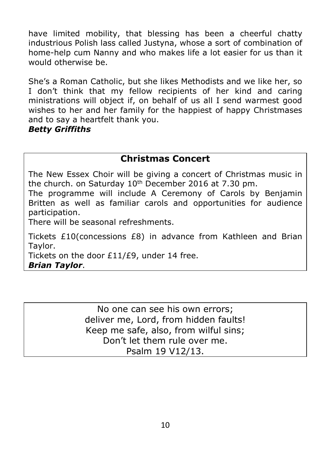have limited mobility, that blessing has been a cheerful chatty industrious Polish lass called Justyna, whose a sort of combination of home-help cum Nanny and who makes life a lot easier for us than it would otherwise be.

She's a Roman Catholic, but she likes Methodists and we like her, so I don't think that my fellow recipients of her kind and caring ministrations will object if, on behalf of us all I send warmest good wishes to her and her family for the happiest of happy Christmases and to say a heartfelt thank you.

#### *Betty Griffiths*

# **Christmas Concert**

The New Essex Choir will be giving a concert of Christmas music in the church. on Saturday 10<sup>th</sup> December 2016 at 7.30 pm.

The programme will include A Ceremony of Carols by Benjamin Britten as well as familiar carols and opportunities for audience participation.

There will be seasonal refreshments.

Tickets £10(concessions £8) in advance from Kathleen and Brian Taylor.

Tickets on the door £11/£9, under 14 free.

*Brian Taylor*.

No one can see his own errors; deliver me, Lord, from hidden faults! Keep me safe, also, from wilful sins; Don't let them rule over me. Psalm 19 V12/13.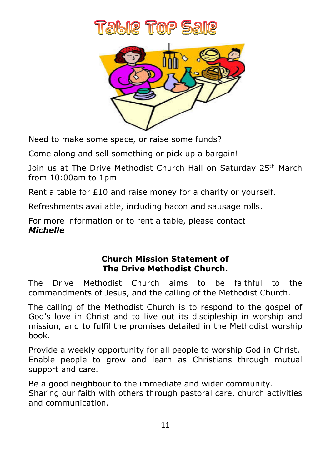

Need to make some space, or raise some funds?

Come along and sell something or pick up a bargain!

Join us at The Drive Methodist Church Hall on Saturday 25<sup>th</sup> March from 10:00am to 1pm

Rent a table for £10 and raise money for a charity or yourself.

Refreshments available, including bacon and sausage rolls.

For more information or to rent a table, please contact *Michelle* 

# **Church Mission Statement of The Drive Methodist Church.**

The Drive Methodist Church aims to be faithful to the commandments of Jesus, and the calling of the Methodist Church.

The calling of the Methodist Church is to respond to the gospel of God's love in Christ and to live out its discipleship in worship and mission, and to fulfil the promises detailed in the Methodist worship book.

Provide a weekly opportunity for all people to worship God in Christ, Enable people to grow and learn as Christians through mutual support and care.

Be a good neighbour to the immediate and wider community. Sharing our faith with others through pastoral care, church activities and communication.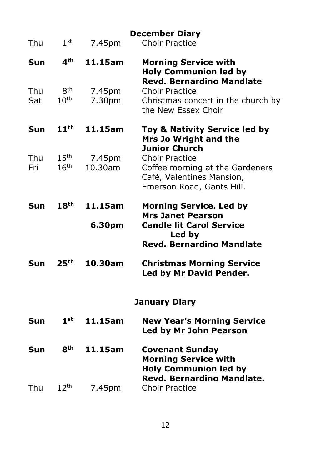|            |                                      |                   | <b>December Diary</b>                                                                                                                      |
|------------|--------------------------------------|-------------------|--------------------------------------------------------------------------------------------------------------------------------------------|
| Thu        | 1 <sup>st</sup>                      | 7.45pm            | <b>Choir Practice</b>                                                                                                                      |
| Sun        | 4 <sup>th</sup>                      | 11.15am           | <b>Morning Service with</b><br><b>Holy Communion led by</b><br><b>Revd. Bernardino Mandlate</b>                                            |
| Thu<br>Sat | 8 <sup>th</sup><br>10 <sup>th</sup>  | 7.45pm<br>7.30pm  | <b>Choir Practice</b><br>Christmas concert in the church by<br>the New Essex Choir                                                         |
| Sun        | 11 <sup>th</sup>                     | 11.15am           | Toy & Nativity Service led by<br>Mrs Jo Wright and the                                                                                     |
| Thu<br>Fri | 15 <sup>th</sup><br>16 <sup>th</sup> | 7.45pm<br>10.30am | <b>Junior Church</b><br><b>Choir Practice</b><br>Coffee morning at the Gardeners<br>Café, Valentines Mansion,<br>Emerson Road, Gants Hill. |
| Sun        | 18 <sup>th</sup>                     | 11.15am           | <b>Morning Service. Led by</b><br><b>Mrs Janet Pearson</b>                                                                                 |
|            |                                      | 6.30pm            | <b>Candle lit Carol Service</b><br>Led by<br><b>Revd. Bernardino Mandlate</b>                                                              |
| Sun        | 25 <sup>th</sup>                     | 10.30am           | <b>Christmas Morning Service</b><br>Led by Mr David Pender.                                                                                |
|            |                                      |                   | <b>January Diary</b>                                                                                                                       |
| Sun        | $1^{\rm st}$                         | 11.15am           | <b>New Year's Morning Service</b><br>Led by Mr John Pearson                                                                                |
| Sun        | 8 <sup>th</sup>                      | 11.15am           | <b>Covenant Sunday</b><br><b>Morning Service with</b><br><b>Holy Communion led by</b><br>Revd. Bernardino Mandlate.                        |
| Thu        | 12 <sup>th</sup>                     | 7.45pm            | <b>Choir Practice</b>                                                                                                                      |